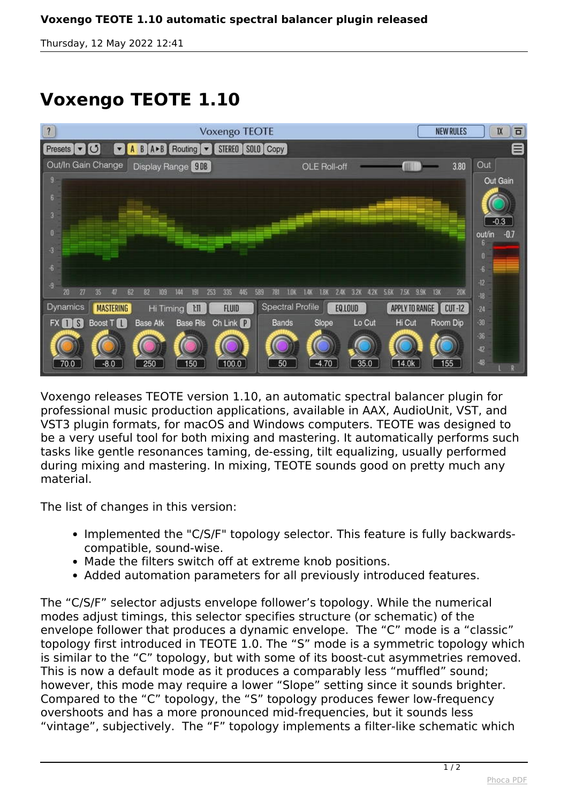*Thursday, 12 May 2022 12:41*

## **Voxengo TEOTE 1.10**



*Voxengo releases TEOTE version 1.10, an automatic spectral balancer plugin for professional music production applications, available in AAX, AudioUnit, VST, and VST3 plugin formats, for macOS and Windows computers. TEOTE was designed to be a very useful tool for both mixing and mastering. It automatically performs such tasks like gentle resonances taming, de-essing, tilt equalizing, usually performed during mixing and mastering. In mixing, TEOTE sounds good on pretty much any material.*

*The list of changes in this version:*

- Implemented the "C/S/F" topology selector. This feature is fully backwards*compatible, sound-wise.*
- *Made the filters switch off at extreme knob positions.*
- *Added automation parameters for all previously introduced features.*

*The "C/S/F" selector adjusts envelope follower's topology. While the numerical modes adjust timings, this selector specifies structure (or schematic) of the envelope follower that produces a dynamic envelope. The "C" mode is a "classic" topology first introduced in TEOTE 1.0. The "S" mode is a symmetric topology which is similar to the "C" topology, but with some of its boost-cut asymmetries removed. This is now a default mode as it produces a comparably less "muffled" sound; however, this mode may require a lower "Slope" setting since it sounds brighter. Compared to the "C" topology, the "S" topology produces fewer low-frequency overshoots and has a more pronounced mid-frequencies, but it sounds less "vintage", subjectively. The "F" topology implements a filter-like schematic which*